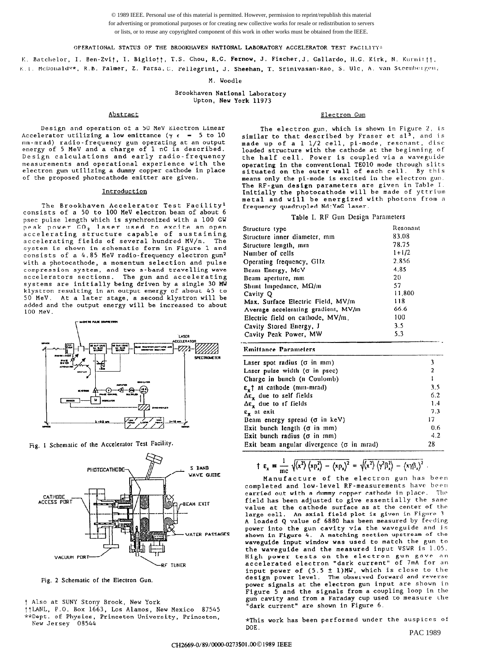© 1989 IEEE. Personal use of this material is permitted. However, permission to reprint/republish this material for advertising or promotional purposes or for creating new collective works for resale or redistribution to servers or lists, or to reuse any copyrighted component of this work in other works must be obtained from the IEEE.

#### OPERATIONAL STATUS OF THE BROOKHAVEN NATIONAL LABORATORY ACCELERATOR TEST FACILITY\*

U.T. McDouald\*\*, R.B. <mark>Palmer, Z. Parsa.C. Pellegrini, J. Sheehan, T. Srinivasan-Rao, S. Ulc, A. v</mark>an Steenberge K. Batchelor, I. Ben-Zvit, I. Bigliott, T.S. Chou, R.C. Fernow, J. Fischer,J. Gallardo, H.G. Kirk, N. Kurnittt,

M. Woodle

Brookhaven National Laboratory Upton, New York 11973

Design and operation of a 50 MeV Electron Linear Accelerator utilizing a low emittance ( $\gamma \epsilon$  = 5 to 10 mm-mrad) radio-frequency gun operating at an outpu energy of 5 MeV and a charge of 1 nC is describ Design calculations and early radio-frequency measurements and operational experience with the electron gun utilizing a dummy copper cathode in place of the proposed photocathode emitter are given.

#### Introduction

The Brookhaven Accelerator Test Facility' consists of a 50 to 100 MeV electron beam of about 6 psec pulse length which is synchronized with a 100 GW peak power CO<sub>2</sub> laser used to excite an open accelerating structure capable of sustaining accelerating fields of several hundred MV/m. The system is shown in schematic form in Figure 1 and consists of a 4.85 MeV radio-frequency electron gun2 with a photocathode, a momentum selection and pulse compression system, and two s-band travelling wave accelerators sections. The gun and acceler systems are initially being driven by a single 30 MW klystron resulting in an output energy of about 45 to 50 MeV. At a later stage, a second klystron will be added and the output energy will be increased to about 100 MeV.



Fig. 1 Schematic of the Accelerator Test Facility.



Fig. 2 Schematic of the Electron Gun.

- ††LANL, P.O. Box 1663, Los Alamos, New Mexico 87545
- \*\*Dept. of Physics, Princeton University, Princeton, New Jersey 08544

# Abstract Electron Gun

The electron gun, which is shown in Figure 2, is similar to that described by Fraser et al<sup>3</sup>, and is made up of a 1 l/2 cell, pi-mode, resonant, disc loaded structure with the cathode at the beginning of the half cell. Power is coupled via a waveguide operating in the conventional TEO10 mode through slits<br>situated on the outer wall of each cell. By thi means only the pi-mode is excited in the electron gun. The RF-gun design parameters are given in Table I. Initially the photocathode will be made of yttrium metal and will be energized with photons from a frequency quadrupled Nd:YaG laser.

## Table I. RF Gun Design Parameters

| Structure type                      | Resonant  |
|-------------------------------------|-----------|
| Structure inner diameter, mm        | 83.08     |
| Structure length, mm                | 78.75     |
| Number of cells                     | $1 + 1/2$ |
| Operating frequency, GHz            | 2.856     |
| Beam Energy, McV                    | 4.85      |
| Beam aperture, mm                   | 20        |
| Shunt Impedance, $M\Omega/m$        | 57        |
| Cavity O                            | 11.800    |
| Max. Surface Electric Field, MV/m   | 118       |
| Average accelerating gradient, MV/m | 66.6      |
| Electric field on cathode, MV/m.    | 100       |
| Cavity Stored Energy, J             | 3.5       |
| Cavity Peak Power, MW               | 5.3       |

#### **Emittance Parameters**

.-

| Laser spot radius $(\sigma \text{ in mm})$       | 3               |
|--------------------------------------------------|-----------------|
| Laser pulse width $(\sigma$ in psec)             | $\mathbf{2}$    |
| Charge in bunch (n Coulomb)                      |                 |
| $\epsilon$ , at cathode (mm-mrad)                | 3.5             |
| $\Delta \varepsilon_x$ due to self fields        | 6.2             |
| $\Delta \varepsilon_x$ due to rf fields          | 1.4             |
| $\epsilon$ at exit                               | 73              |
| Beam energy spread $(\sigma$ in keV)             | 17 <sup>2</sup> |
| Exit bunch length $(\sigma$ in mm)               | 0.6             |
| Exit bunch radius ( $\sigma$ in $mm$ )           | 4.2             |
| Exit beam angular divergence ( $\sigma$ in mrad) | 28              |

$$
\uparrow \varepsilon_x = \frac{1}{\text{mc}} \sqrt{\langle x^2 \rangle \langle xp_x^2 \rangle - \langle xp_x \rangle^2} = \sqrt{\langle x^2 \rangle \langle \gamma^2 \beta_x^2 \rangle - \langle x \gamma \beta_x \rangle^2} .
$$

Manufacture of the electron gun has been completed and low-level RF-measurements have been carried out with a dummy copper cathode in place. The field has been adjusted to give essentially the same value at the cathode surface as at the center of the large cell. An axial field plot is given in Figure 3. A loaded Q value of 6880 has been measured by feeding power into the gun cavity via the waveguide and is shown in Figure 4. A matching section upstream of the waveguide input window was used to match the gun to the waveguide and the measured input VSWR is 1.05. High power tests on the electron gun gave an accelerated electron "dark current" of 7mA for an input power of (5.5 + l)MW, which is close to the design power level. The observed forward and reverse power signals at the electron gun input are shown in Figure 5 and the signals from a coupling loop in the gun cavity and from a Faraday cup used to measure the "dark current" are shown in Figure 6.

\*This work has been performed under the auspices of DOE. PAC 1989

t Also at SUNY Stony Brook, New York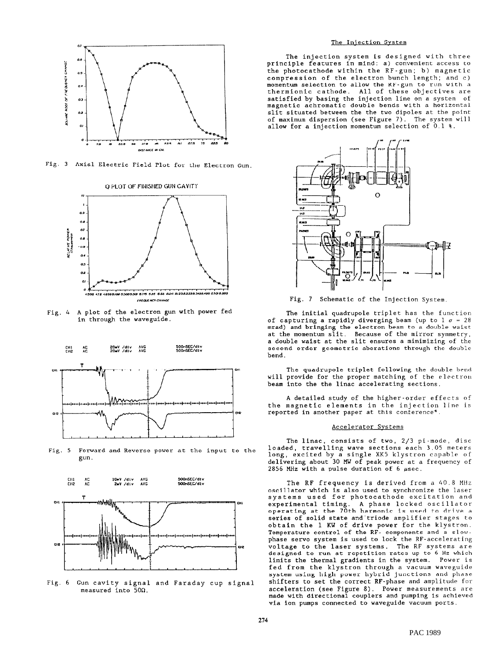

Fig. 3 Axial Electric Field Plot for the Electron Gun.



Fig. 4 A plot of the electron gun with power fed in through the waveguide.



Fig. 5 Forward and Reverse power at the input to the gun.



Fig. 6 Gun cavity signal and Faraday cup signal measured into 5On.

# The Iniection System

The injection system is designed with three principle features in mind: a) convenient access to the photocathode within the RF-gun; b) magnetic compression of the electron bunch length; and c) momentum selection to allow the RF-gun to run with a thermionic cathode. All of these objectives are satisfied by basing the injection line on a system of magnetic achromatic double bends with a horizontal slit situated between the the two dipoles at the point of maximum dispersion (see Figure 7). The system will allow for a injection momentum selection of 0.1 8.



Fig. 7 Schematic of the Injection System.

The initial quadrupole triplet has the function of capturing a rapidly diverging beam (up to  $1 \sigma = 28$ mrad) and bringing the electron beam to a double wais at the momentum slit. Because of the mirror symmetry, a double waist at the slit ensures a minimizing of the second-order geometric aberations through the double bend.

The quadrupole triplet following the double bend will provide for the proper matching of the electron beam into the the linac accelerating sections.

A detailed study of the higher-order effects of the magnetic elements in the injection line is reported in another paper at this conference4.

## Accelerator Svstems

The linac, consists of two, 2/3 pi-mode, disc loaded, travelling wave sections each 3.05 meters long, excited by a single XK5 klystron capable of delivering about 30 MW of peak power at a frequency of 2856 MHz with a pulse duration of 6  $\mu$ sec.

The RF frequency is derived from a 40.8 MHz oscillator which is also used to synchronize the laser systems used for photocathode excitation and experimental timing. A phase locked oscil operating at the 70th harmonic is used to drive a series of solid state and'triode amplifier stages to obtain the 1 KU of drive power for the klystron. Temperature control of the RF- components and a slowphase servo system is used to lock the RF-accelerating voltage to the laser systems. The RF systems are designed to run at repetition rates up to 6 Hz which limits the thermal gradients in the system. Power is fed from the klystron through a vacuum waveguide system using high power hybrid junctions and phase shifters to set the correct RF-phase and amplitude for acceleration (see Figure 8). Power measurements are made with directional couplers and pumping is achieved via ion pumps connected to waveguide vacuum ports.